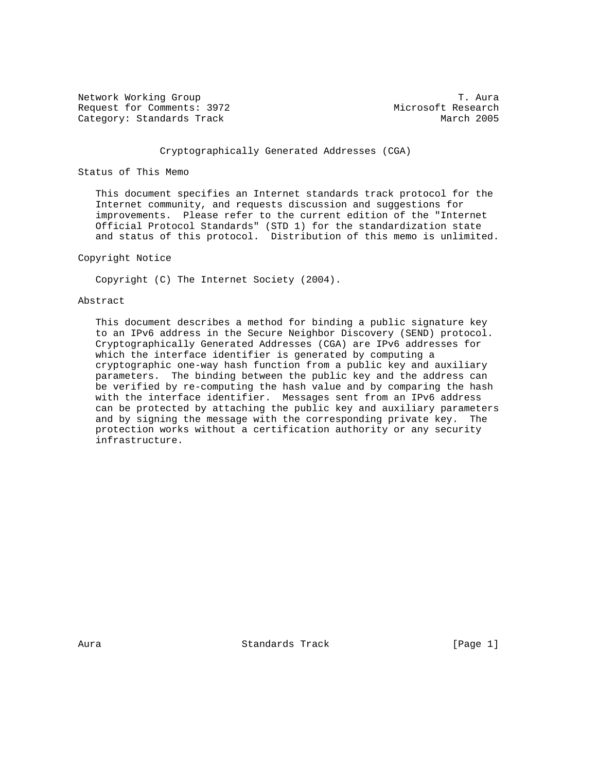Network Working Group T. Aura Request for Comments: 3972 Microsoft Research Category: Standards Track March 2005

# Cryptographically Generated Addresses (CGA)

## Status of This Memo

 This document specifies an Internet standards track protocol for the Internet community, and requests discussion and suggestions for improvements. Please refer to the current edition of the "Internet Official Protocol Standards" (STD 1) for the standardization state and status of this protocol. Distribution of this memo is unlimited.

## Copyright Notice

Copyright (C) The Internet Society (2004).

## Abstract

 This document describes a method for binding a public signature key to an IPv6 address in the Secure Neighbor Discovery (SEND) protocol. Cryptographically Generated Addresses (CGA) are IPv6 addresses for which the interface identifier is generated by computing a cryptographic one-way hash function from a public key and auxiliary parameters. The binding between the public key and the address can be verified by re-computing the hash value and by comparing the hash with the interface identifier. Messages sent from an IPv6 address can be protected by attaching the public key and auxiliary parameters and by signing the message with the corresponding private key. The protection works without a certification authority or any security infrastructure.

Aura Standards Track [Page 1]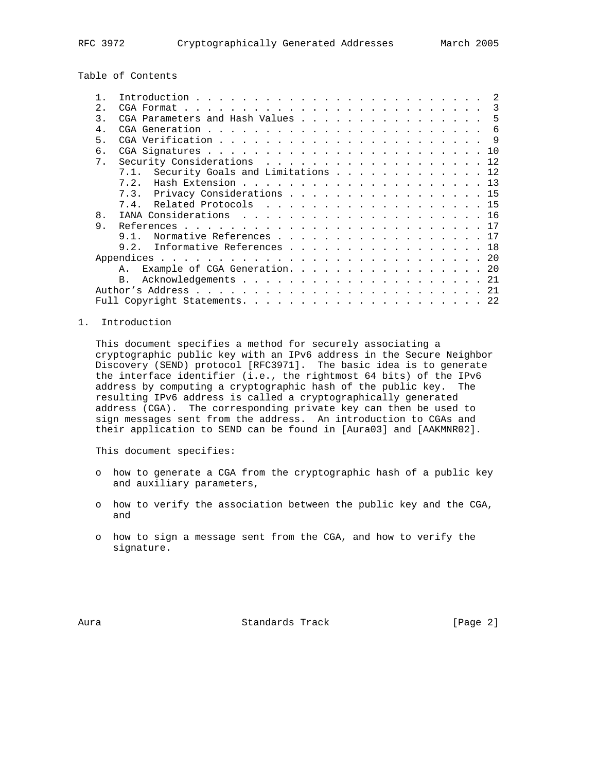Table of Contents

|                | -2                                     |
|----------------|----------------------------------------|
| 2.             |                                        |
| $\mathcal{R}$  | CGA Parameters and Hash Values 5       |
| $4$ .          |                                        |
| 5.             |                                        |
| 6.             |                                        |
| 7 <sub>1</sub> | Security Considerations 12             |
|                | 7.1. Security Goals and Limitations 12 |
|                | 7.2.                                   |
|                | 7.3. Privacy Considerations 15         |
|                | 7.4. Related Protocols 15              |
| 8.             |                                        |
| 9              |                                        |
|                | Normative References 17<br>9 1         |
|                | 9.2. Informative References 18         |
|                |                                        |
|                | Example of CGA Generation. 20<br>A.,   |
|                | <b>B.</b>                              |
|                |                                        |
|                |                                        |
|                |                                        |

## 1. Introduction

 This document specifies a method for securely associating a cryptographic public key with an IPv6 address in the Secure Neighbor Discovery (SEND) protocol [RFC3971]. The basic idea is to generate the interface identifier (i.e., the rightmost 64 bits) of the IPv6 address by computing a cryptographic hash of the public key. The resulting IPv6 address is called a cryptographically generated address (CGA). The corresponding private key can then be used to sign messages sent from the address. An introduction to CGAs and their application to SEND can be found in [Aura03] and [AAKMNR02].

This document specifies:

- o how to generate a CGA from the cryptographic hash of a public key and auxiliary parameters,
- o how to verify the association between the public key and the CGA, and
- o how to sign a message sent from the CGA, and how to verify the signature.

Aura Standards Track [Page 2]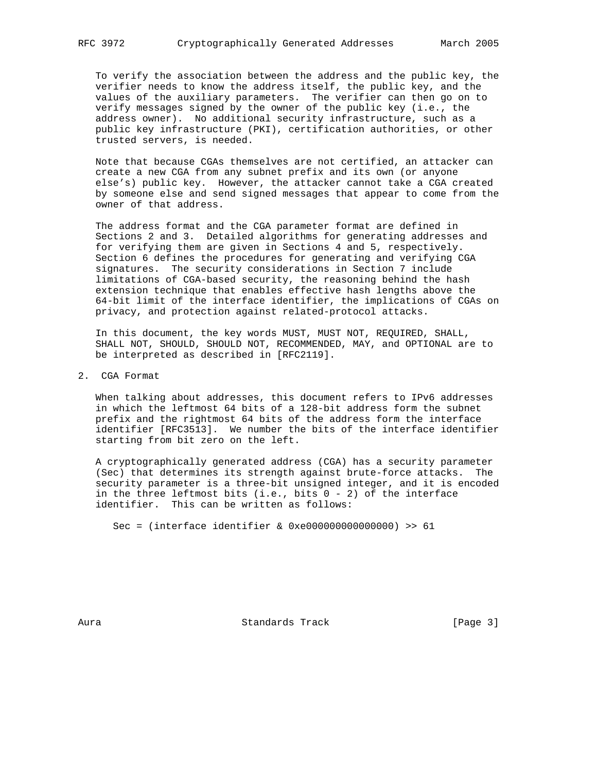To verify the association between the address and the public key, the verifier needs to know the address itself, the public key, and the values of the auxiliary parameters. The verifier can then go on to verify messages signed by the owner of the public key (i.e., the address owner). No additional security infrastructure, such as a public key infrastructure (PKI), certification authorities, or other trusted servers, is needed.

 Note that because CGAs themselves are not certified, an attacker can create a new CGA from any subnet prefix and its own (or anyone else's) public key. However, the attacker cannot take a CGA created by someone else and send signed messages that appear to come from the owner of that address.

 The address format and the CGA parameter format are defined in Sections 2 and 3. Detailed algorithms for generating addresses and for verifying them are given in Sections 4 and 5, respectively. Section 6 defines the procedures for generating and verifying CGA signatures. The security considerations in Section 7 include limitations of CGA-based security, the reasoning behind the hash extension technique that enables effective hash lengths above the 64-bit limit of the interface identifier, the implications of CGAs on privacy, and protection against related-protocol attacks.

 In this document, the key words MUST, MUST NOT, REQUIRED, SHALL, SHALL NOT, SHOULD, SHOULD NOT, RECOMMENDED, MAY, and OPTIONAL are to be interpreted as described in [RFC2119].

2. CGA Format

 When talking about addresses, this document refers to IPv6 addresses in which the leftmost 64 bits of a 128-bit address form the subnet prefix and the rightmost 64 bits of the address form the interface identifier [RFC3513]. We number the bits of the interface identifier starting from bit zero on the left.

 A cryptographically generated address (CGA) has a security parameter (Sec) that determines its strength against brute-force attacks. The security parameter is a three-bit unsigned integer, and it is encoded in the three leftmost bits (i.e., bits 0 - 2) of the interface identifier. This can be written as follows:

Sec = (interface identifier & 0xe000000000000000) >> 61

Aura Standards Track [Page 3]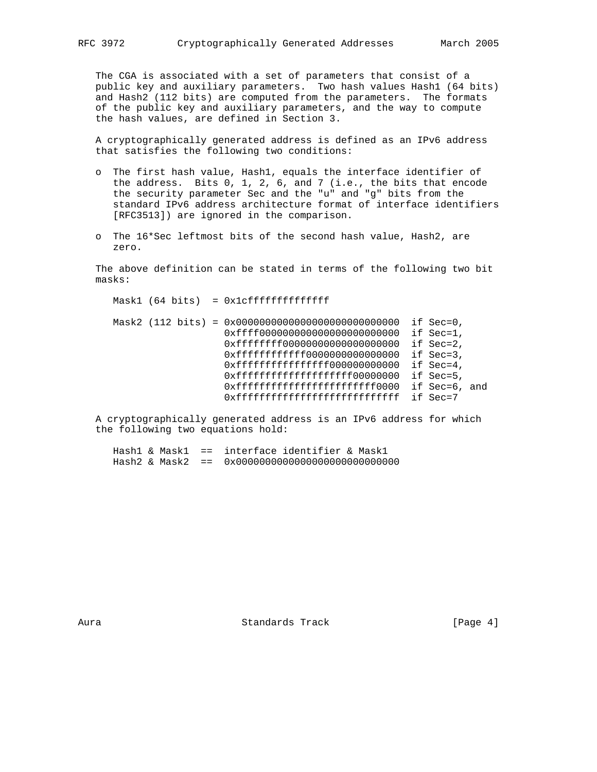The CGA is associated with a set of parameters that consist of a public key and auxiliary parameters. Two hash values Hash1 (64 bits) and Hash2 (112 bits) are computed from the parameters. The formats of the public key and auxiliary parameters, and the way to compute the hash values, are defined in Section 3.

 A cryptographically generated address is defined as an IPv6 address that satisfies the following two conditions:

- o The first hash value, Hash1, equals the interface identifier of the address. Bits 0, 1, 2, 6, and 7 (i.e., the bits that encode the security parameter Sec and the "u" and "g" bits from the standard IPv6 address architecture format of interface identifiers [RFC3513]) are ignored in the comparison.
- o The 16\*Sec leftmost bits of the second hash value, Hash2, are zero.

 The above definition can be stated in terms of the following two bit masks:

 Mask1 (64 bits) = 0x1cffffffffffffff Mask2 (112 bits) = 0x0000000000000000000000000000 if Sec=0, 0xffff000000000000000000000000 if Sec=1, 0xffffffff00000000000000000000 if Sec=2, 0xffffffffffff0000000000000000 if Sec=3, 0xfffffffffffffffffff0000000000000 if Sec=4,  $0xffffffffffffffffffffffffffffff000000000$  if Sec=5, 0xfffffffffffffffffffffffffff0000 if Sec=6, and 0xffffffffffffffffffffffffffff if Sec=7

 A cryptographically generated address is an IPv6 address for which the following two equations hold:

|  |  | Hashl & Maskl == interface identifier & Maskl |  |
|--|--|-----------------------------------------------|--|
|  |  |                                               |  |

Aura Standards Track [Page 4]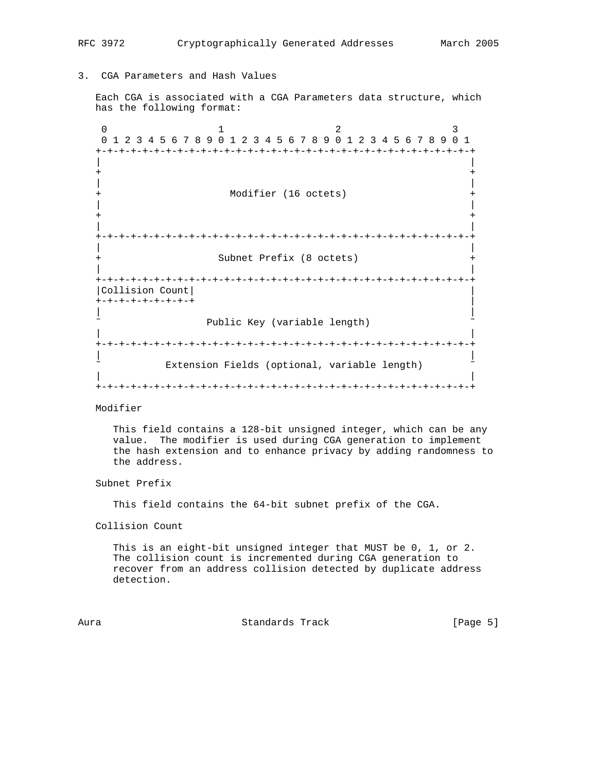# 3. CGA Parameters and Hash Values

 Each CGA is associated with a CGA Parameters data structure, which has the following format:

0  $1$  2 3 0 1 2 3 4 5 6 7 8 9 0 1 2 3 4 5 6 7 8 9 0 1 2 3 4 5 6 7 8 9 0 1 +-+-+-+-+-+-+-+-+-+-+-+-+-+-+-+-+-+-+-+-+-+-+-+-+-+-+-+-+-+-+-+-+ | | + + | | + Modifier (16 octets) + | | + + | | +-+-+-+-+-+-+-+-+-+-+-+-+-+-+-+-+-+-+-+-+-+-+-+-+-+-+-+-+-+-+-+-+ | | Subnet Prefix (8 octets) + | | +-+-+-+-+-+-+-+-+-+-+-+-+-+-+-+-+-+-+-+-+-+-+-+-+-+-+-+-+-+-+-+-+ |Collision Count| | +-+-+-+-+-+-+-+-+ | | | Public Key (variable length) | | +-+-+-+-+-+-+-+-+-+-+-+-+-+-+-+-+-+-+-+-+-+-+-+-+-+-+-+-+-+-+-+-+ | | Extension Fields (optional, variable length) | | +-+-+-+-+-+-+-+-+-+-+-+-+-+-+-+-+-+-+-+-+-+-+-+-+-+-+-+-+-+-+-+-+

## Modifier

 This field contains a 128-bit unsigned integer, which can be any value. The modifier is used during CGA generation to implement the hash extension and to enhance privacy by adding randomness to the address.

## Subnet Prefix

This field contains the 64-bit subnet prefix of the CGA.

#### Collision Count

 This is an eight-bit unsigned integer that MUST be 0, 1, or 2. The collision count is incremented during CGA generation to recover from an address collision detected by duplicate address detection.

Aura Standards Track [Page 5]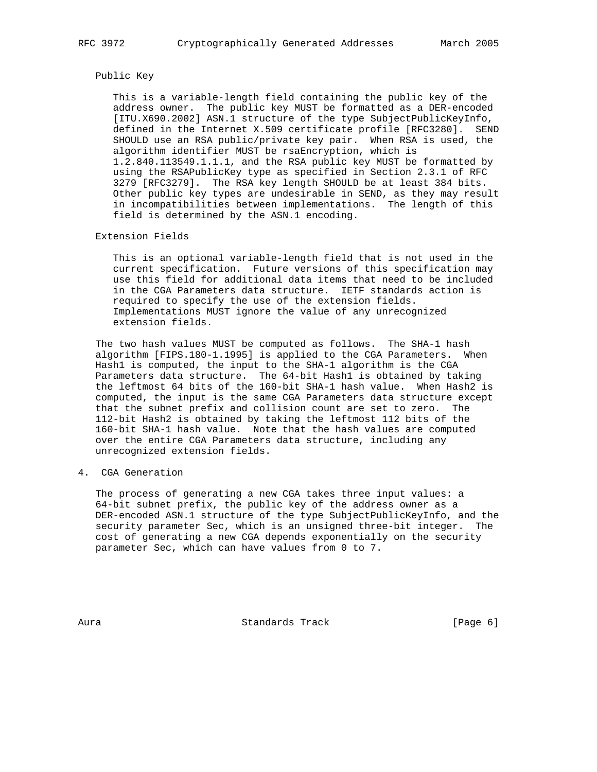#### Public Key

 This is a variable-length field containing the public key of the address owner. The public key MUST be formatted as a DER-encoded [ITU.X690.2002] ASN.1 structure of the type SubjectPublicKeyInfo, defined in the Internet X.509 certificate profile [RFC3280]. SEND SHOULD use an RSA public/private key pair. When RSA is used, the algorithm identifier MUST be rsaEncryption, which is 1.2.840.113549.1.1.1, and the RSA public key MUST be formatted by using the RSAPublicKey type as specified in Section 2.3.1 of RFC 3279 [RFC3279]. The RSA key length SHOULD be at least 384 bits. Other public key types are undesirable in SEND, as they may result in incompatibilities between implementations. The length of this field is determined by the ASN.1 encoding.

## Extension Fields

 This is an optional variable-length field that is not used in the current specification. Future versions of this specification may use this field for additional data items that need to be included in the CGA Parameters data structure. IETF standards action is required to specify the use of the extension fields. Implementations MUST ignore the value of any unrecognized extension fields.

 The two hash values MUST be computed as follows. The SHA-1 hash algorithm [FIPS.180-1.1995] is applied to the CGA Parameters. When Hash1 is computed, the input to the SHA-1 algorithm is the CGA Parameters data structure. The 64-bit Hash1 is obtained by taking the leftmost 64 bits of the 160-bit SHA-1 hash value. When Hash2 is computed, the input is the same CGA Parameters data structure except that the subnet prefix and collision count are set to zero. The 112-bit Hash2 is obtained by taking the leftmost 112 bits of the 160-bit SHA-1 hash value. Note that the hash values are computed over the entire CGA Parameters data structure, including any unrecognized extension fields.

4. CGA Generation

 The process of generating a new CGA takes three input values: a 64-bit subnet prefix, the public key of the address owner as a DER-encoded ASN.1 structure of the type SubjectPublicKeyInfo, and the security parameter Sec, which is an unsigned three-bit integer. The cost of generating a new CGA depends exponentially on the security parameter Sec, which can have values from 0 to 7.

Aura **Standards Track** [Page 6]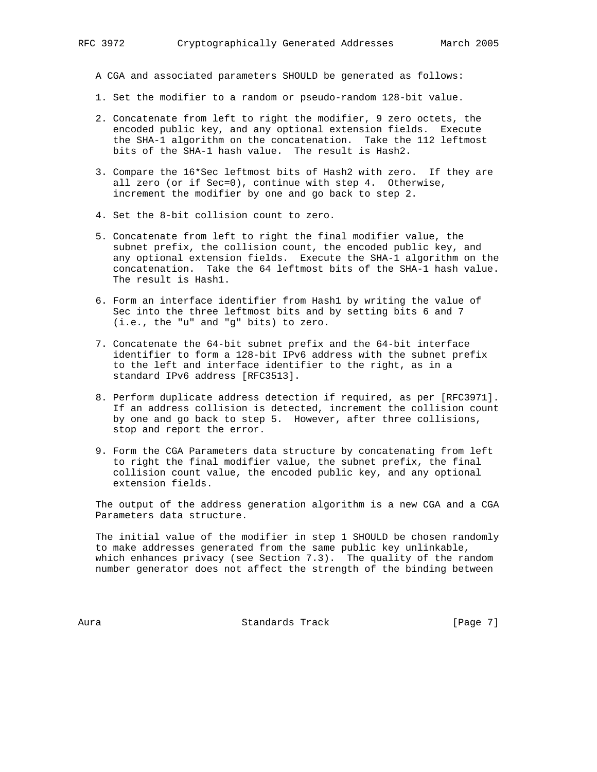A CGA and associated parameters SHOULD be generated as follows:

- 1. Set the modifier to a random or pseudo-random 128-bit value.
- 2. Concatenate from left to right the modifier, 9 zero octets, the encoded public key, and any optional extension fields. Execute the SHA-1 algorithm on the concatenation. Take the 112 leftmost bits of the SHA-1 hash value. The result is Hash2.
- 3. Compare the 16\*Sec leftmost bits of Hash2 with zero. If they are all zero (or if Sec=0), continue with step 4. Otherwise, increment the modifier by one and go back to step 2.
- 4. Set the 8-bit collision count to zero.
- 5. Concatenate from left to right the final modifier value, the subnet prefix, the collision count, the encoded public key, and any optional extension fields. Execute the SHA-1 algorithm on the concatenation. Take the 64 leftmost bits of the SHA-1 hash value. The result is Hash1.
- 6. Form an interface identifier from Hash1 by writing the value of Sec into the three leftmost bits and by setting bits 6 and 7 (i.e., the "u" and "g" bits) to zero.
- 7. Concatenate the 64-bit subnet prefix and the 64-bit interface identifier to form a 128-bit IPv6 address with the subnet prefix to the left and interface identifier to the right, as in a standard IPv6 address [RFC3513].
- 8. Perform duplicate address detection if required, as per [RFC3971]. If an address collision is detected, increment the collision count by one and go back to step 5. However, after three collisions, stop and report the error.
- 9. Form the CGA Parameters data structure by concatenating from left to right the final modifier value, the subnet prefix, the final collision count value, the encoded public key, and any optional extension fields.

 The output of the address generation algorithm is a new CGA and a CGA Parameters data structure.

 The initial value of the modifier in step 1 SHOULD be chosen randomly to make addresses generated from the same public key unlinkable, which enhances privacy (see Section 7.3). The quality of the random number generator does not affect the strength of the binding between

Aura **Standards Track** [Page 7]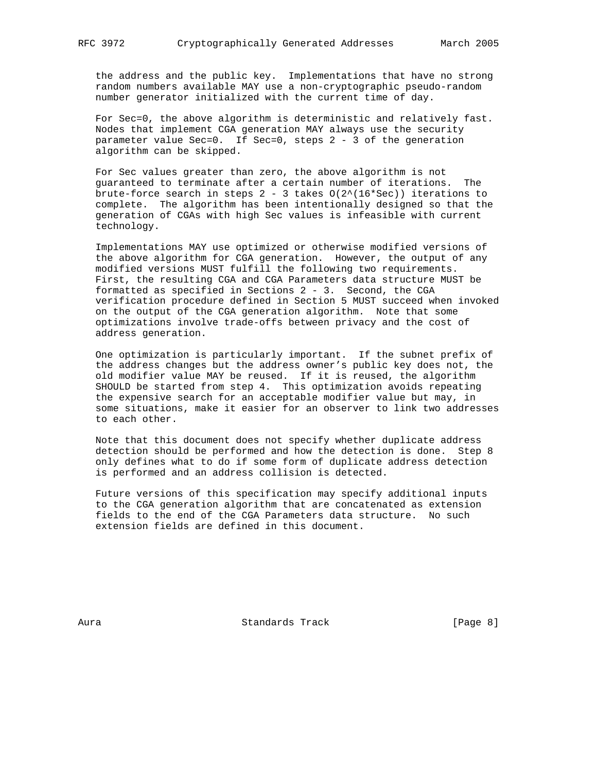the address and the public key. Implementations that have no strong random numbers available MAY use a non-cryptographic pseudo-random number generator initialized with the current time of day.

 For Sec=0, the above algorithm is deterministic and relatively fast. Nodes that implement CGA generation MAY always use the security parameter value Sec=0. If Sec=0, steps 2 - 3 of the generation algorithm can be skipped.

 For Sec values greater than zero, the above algorithm is not guaranteed to terminate after a certain number of iterations. The brute-force search in steps  $2 - 3$  takes  $O(2^{*(16*Sec)})$  iterations to complete. The algorithm has been intentionally designed so that the generation of CGAs with high Sec values is infeasible with current technology.

 Implementations MAY use optimized or otherwise modified versions of the above algorithm for CGA generation. However, the output of any modified versions MUST fulfill the following two requirements. First, the resulting CGA and CGA Parameters data structure MUST be formatted as specified in Sections 2 - 3. Second, the CGA verification procedure defined in Section 5 MUST succeed when invoked on the output of the CGA generation algorithm. Note that some optimizations involve trade-offs between privacy and the cost of address generation.

 One optimization is particularly important. If the subnet prefix of the address changes but the address owner's public key does not, the old modifier value MAY be reused. If it is reused, the algorithm SHOULD be started from step 4. This optimization avoids repeating the expensive search for an acceptable modifier value but may, in some situations, make it easier for an observer to link two addresses to each other.

 Note that this document does not specify whether duplicate address detection should be performed and how the detection is done. Step 8 only defines what to do if some form of duplicate address detection is performed and an address collision is detected.

 Future versions of this specification may specify additional inputs to the CGA generation algorithm that are concatenated as extension fields to the end of the CGA Parameters data structure. No such extension fields are defined in this document.

Aura Standards Track [Page 8]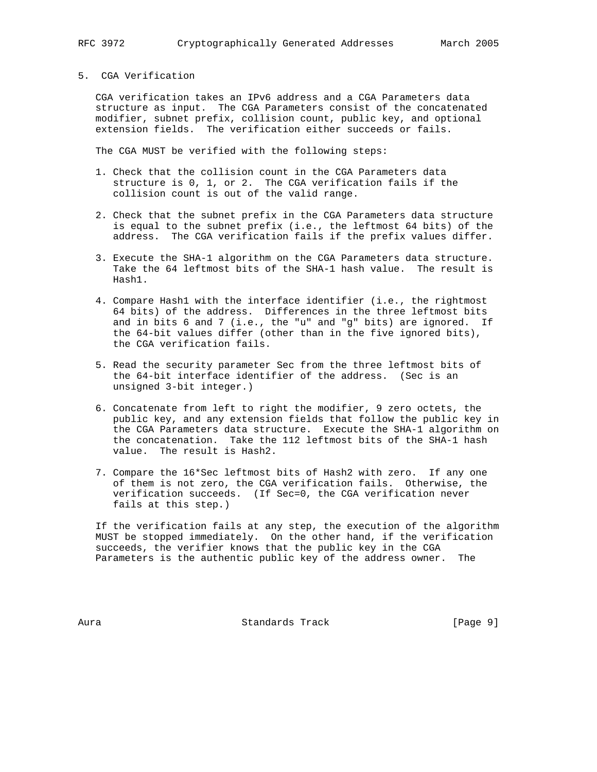## 5. CGA Verification

 CGA verification takes an IPv6 address and a CGA Parameters data structure as input. The CGA Parameters consist of the concatenated modifier, subnet prefix, collision count, public key, and optional extension fields. The verification either succeeds or fails.

The CGA MUST be verified with the following steps:

- 1. Check that the collision count in the CGA Parameters data structure is 0, 1, or 2. The CGA verification fails if the collision count is out of the valid range.
- 2. Check that the subnet prefix in the CGA Parameters data structure is equal to the subnet prefix (i.e., the leftmost 64 bits) of the address. The CGA verification fails if the prefix values differ.
- 3. Execute the SHA-1 algorithm on the CGA Parameters data structure. Take the 64 leftmost bits of the SHA-1 hash value. The result is Hash1.
- 4. Compare Hash1 with the interface identifier (i.e., the rightmost 64 bits) of the address. Differences in the three leftmost bits and in bits 6 and 7 (i.e., the "u" and "g" bits) are ignored. If the 64-bit values differ (other than in the five ignored bits), the CGA verification fails.
- 5. Read the security parameter Sec from the three leftmost bits of the 64-bit interface identifier of the address. (Sec is an unsigned 3-bit integer.)
- 6. Concatenate from left to right the modifier, 9 zero octets, the public key, and any extension fields that follow the public key in the CGA Parameters data structure. Execute the SHA-1 algorithm on the concatenation. Take the 112 leftmost bits of the SHA-1 hash value. The result is Hash2.
- 7. Compare the 16\*Sec leftmost bits of Hash2 with zero. If any one of them is not zero, the CGA verification fails. Otherwise, the verification succeeds. (If Sec=0, the CGA verification never fails at this step.)

 If the verification fails at any step, the execution of the algorithm MUST be stopped immediately. On the other hand, if the verification succeeds, the verifier knows that the public key in the CGA Parameters is the authentic public key of the address owner. The

Aura Standards Track [Page 9]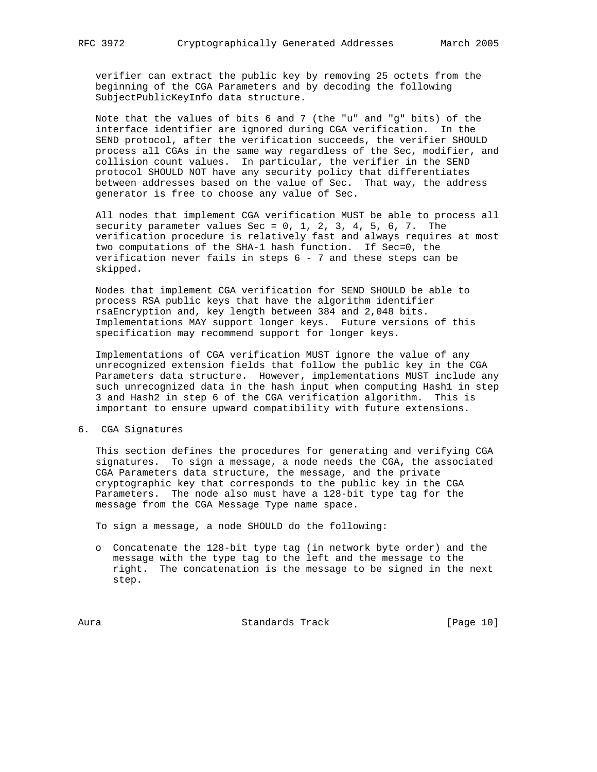verifier can extract the public key by removing 25 octets from the beginning of the CGA Parameters and by decoding the following SubjectPublicKeyInfo data structure.

 Note that the values of bits 6 and 7 (the "u" and "g" bits) of the interface identifier are ignored during CGA verification. In the SEND protocol, after the verification succeeds, the verifier SHOULD process all CGAs in the same way regardless of the Sec, modifier, and collision count values. In particular, the verifier in the SEND protocol SHOULD NOT have any security policy that differentiates between addresses based on the value of Sec. That way, the address generator is free to choose any value of Sec.

 All nodes that implement CGA verification MUST be able to process all security parameter values Sec =  $0, 1, 2, 3, 4, 5, 6, 7$ . The verification procedure is relatively fast and always requires at most two computations of the SHA-1 hash function. If Sec=0, the verification never fails in steps 6 - 7 and these steps can be skipped.

 Nodes that implement CGA verification for SEND SHOULD be able to process RSA public keys that have the algorithm identifier rsaEncryption and, key length between 384 and 2,048 bits. Implementations MAY support longer keys. Future versions of this specification may recommend support for longer keys.

 Implementations of CGA verification MUST ignore the value of any unrecognized extension fields that follow the public key in the CGA Parameters data structure. However, implementations MUST include any such unrecognized data in the hash input when computing Hash1 in step 3 and Hash2 in step 6 of the CGA verification algorithm. This is important to ensure upward compatibility with future extensions.

6. CGA Signatures

 This section defines the procedures for generating and verifying CGA signatures. To sign a message, a node needs the CGA, the associated CGA Parameters data structure, the message, and the private cryptographic key that corresponds to the public key in the CGA Parameters. The node also must have a 128-bit type tag for the message from the CGA Message Type name space.

To sign a message, a node SHOULD do the following:

 o Concatenate the 128-bit type tag (in network byte order) and the message with the type tag to the left and the message to the right. The concatenation is the message to be signed in the next step.

Aura **Brandards Track** [Page 10]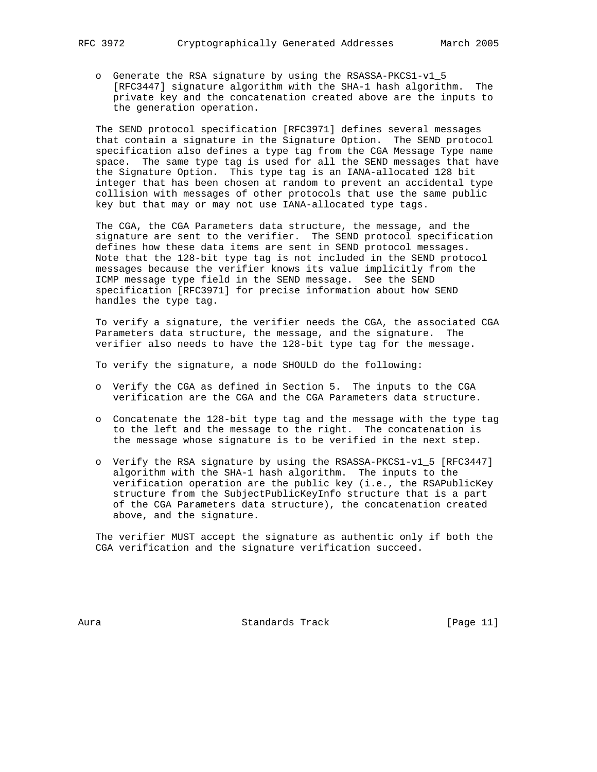o Generate the RSA signature by using the RSASSA-PKCS1-v1\_5 [RFC3447] signature algorithm with the SHA-1 hash algorithm. The private key and the concatenation created above are the inputs to the generation operation.

 The SEND protocol specification [RFC3971] defines several messages that contain a signature in the Signature Option. The SEND protocol specification also defines a type tag from the CGA Message Type name space. The same type tag is used for all the SEND messages that have the Signature Option. This type tag is an IANA-allocated 128 bit integer that has been chosen at random to prevent an accidental type collision with messages of other protocols that use the same public key but that may or may not use IANA-allocated type tags.

 The CGA, the CGA Parameters data structure, the message, and the signature are sent to the verifier. The SEND protocol specification defines how these data items are sent in SEND protocol messages. Note that the 128-bit type tag is not included in the SEND protocol messages because the verifier knows its value implicitly from the ICMP message type field in the SEND message. See the SEND specification [RFC3971] for precise information about how SEND handles the type tag.

 To verify a signature, the verifier needs the CGA, the associated CGA Parameters data structure, the message, and the signature. The verifier also needs to have the 128-bit type tag for the message.

To verify the signature, a node SHOULD do the following:

- o Verify the CGA as defined in Section 5. The inputs to the CGA verification are the CGA and the CGA Parameters data structure.
- o Concatenate the 128-bit type tag and the message with the type tag to the left and the message to the right. The concatenation is the message whose signature is to be verified in the next step.
- o Verify the RSA signature by using the RSASSA-PKCS1-v1\_5 [RFC3447] algorithm with the SHA-1 hash algorithm. The inputs to the verification operation are the public key (i.e., the RSAPublicKey structure from the SubjectPublicKeyInfo structure that is a part of the CGA Parameters data structure), the concatenation created above, and the signature.

 The verifier MUST accept the signature as authentic only if both the CGA verification and the signature verification succeed.

Aura Standards Track [Page 11]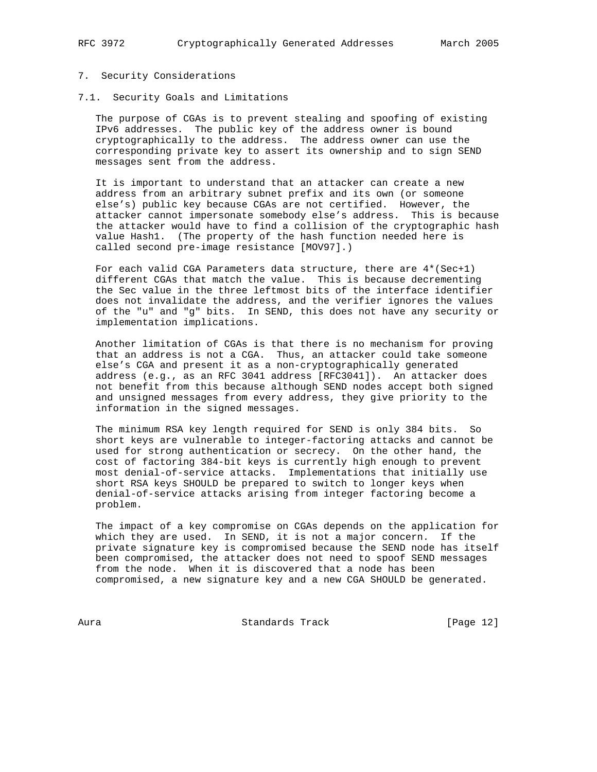#### 7. Security Considerations

7.1. Security Goals and Limitations

 The purpose of CGAs is to prevent stealing and spoofing of existing IPv6 addresses. The public key of the address owner is bound cryptographically to the address. The address owner can use the corresponding private key to assert its ownership and to sign SEND messages sent from the address.

 It is important to understand that an attacker can create a new address from an arbitrary subnet prefix and its own (or someone else's) public key because CGAs are not certified. However, the attacker cannot impersonate somebody else's address. This is because the attacker would have to find a collision of the cryptographic hash value Hash1. (The property of the hash function needed here is called second pre-image resistance [MOV97].)

 For each valid CGA Parameters data structure, there are 4\*(Sec+1) different CGAs that match the value. This is because decrementing the Sec value in the three leftmost bits of the interface identifier does not invalidate the address, and the verifier ignores the values of the "u" and "g" bits. In SEND, this does not have any security or implementation implications.

 Another limitation of CGAs is that there is no mechanism for proving that an address is not a CGA. Thus, an attacker could take someone else's CGA and present it as a non-cryptographically generated address (e.g., as an RFC 3041 address [RFC3041]). An attacker does not benefit from this because although SEND nodes accept both signed and unsigned messages from every address, they give priority to the information in the signed messages.

 The minimum RSA key length required for SEND is only 384 bits. So short keys are vulnerable to integer-factoring attacks and cannot be used for strong authentication or secrecy. On the other hand, the cost of factoring 384-bit keys is currently high enough to prevent most denial-of-service attacks. Implementations that initially use short RSA keys SHOULD be prepared to switch to longer keys when denial-of-service attacks arising from integer factoring become a problem.

 The impact of a key compromise on CGAs depends on the application for which they are used. In SEND, it is not a major concern. If the private signature key is compromised because the SEND node has itself been compromised, the attacker does not need to spoof SEND messages from the node. When it is discovered that a node has been compromised, a new signature key and a new CGA SHOULD be generated.

Aura Standards Track [Page 12]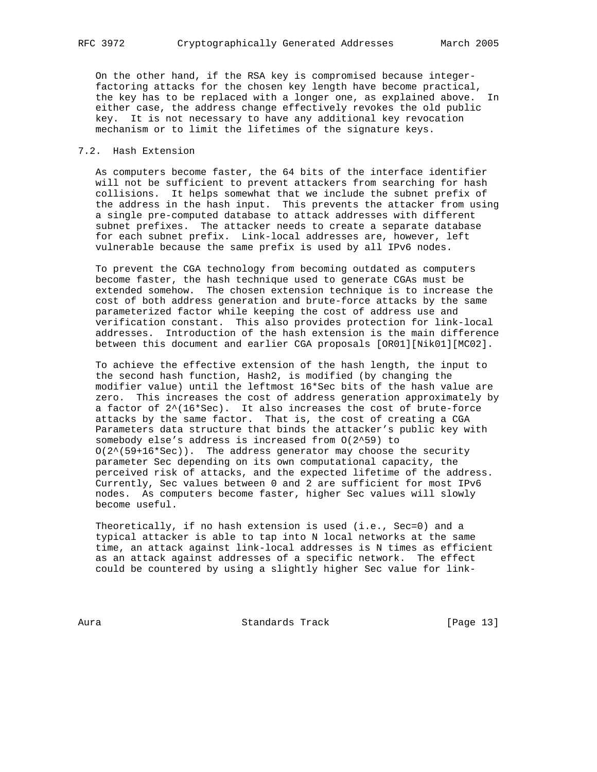On the other hand, if the RSA key is compromised because integer factoring attacks for the chosen key length have become practical, the key has to be replaced with a longer one, as explained above. In either case, the address change effectively revokes the old public key. It is not necessary to have any additional key revocation mechanism or to limit the lifetimes of the signature keys.

## 7.2. Hash Extension

 As computers become faster, the 64 bits of the interface identifier will not be sufficient to prevent attackers from searching for hash collisions. It helps somewhat that we include the subnet prefix of the address in the hash input. This prevents the attacker from using a single pre-computed database to attack addresses with different subnet prefixes. The attacker needs to create a separate database for each subnet prefix. Link-local addresses are, however, left vulnerable because the same prefix is used by all IPv6 nodes.

 To prevent the CGA technology from becoming outdated as computers become faster, the hash technique used to generate CGAs must be extended somehow. The chosen extension technique is to increase the cost of both address generation and brute-force attacks by the same parameterized factor while keeping the cost of address use and verification constant. This also provides protection for link-local addresses. Introduction of the hash extension is the main difference between this document and earlier CGA proposals [OR01][Nik01][MC02].

 To achieve the effective extension of the hash length, the input to the second hash function, Hash2, is modified (by changing the modifier value) until the leftmost 16\*Sec bits of the hash value are zero. This increases the cost of address generation approximately by a factor of 2^(16\*Sec). It also increases the cost of brute-force attacks by the same factor. That is, the cost of creating a CGA Parameters data structure that binds the attacker's public key with somebody else's address is increased from O(2^59) to  $O(2^*(59+16*Sec))$ . The address generator may choose the security parameter Sec depending on its own computational capacity, the perceived risk of attacks, and the expected lifetime of the address. Currently, Sec values between 0 and 2 are sufficient for most IPv6 nodes. As computers become faster, higher Sec values will slowly become useful.

 Theoretically, if no hash extension is used (i.e., Sec=0) and a typical attacker is able to tap into N local networks at the same time, an attack against link-local addresses is N times as efficient as an attack against addresses of a specific network. The effect could be countered by using a slightly higher Sec value for link-

Aura **Standards Track** [Page 13]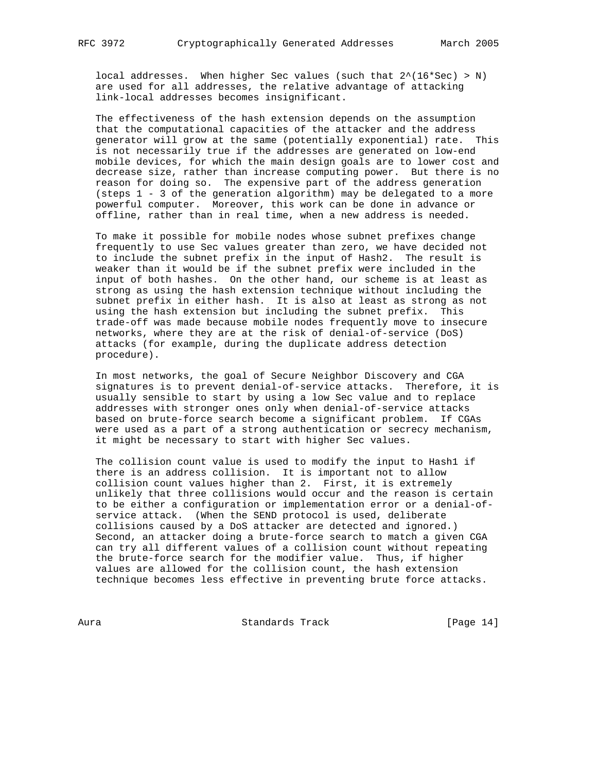local addresses. When higher Sec values (such that 2^(16\*Sec) > N) are used for all addresses, the relative advantage of attacking link-local addresses becomes insignificant.

 The effectiveness of the hash extension depends on the assumption that the computational capacities of the attacker and the address generator will grow at the same (potentially exponential) rate. This is not necessarily true if the addresses are generated on low-end mobile devices, for which the main design goals are to lower cost and decrease size, rather than increase computing power. But there is no reason for doing so. The expensive part of the address generation (steps 1 - 3 of the generation algorithm) may be delegated to a more powerful computer. Moreover, this work can be done in advance or offline, rather than in real time, when a new address is needed.

 To make it possible for mobile nodes whose subnet prefixes change frequently to use Sec values greater than zero, we have decided not to include the subnet prefix in the input of Hash2. The result is weaker than it would be if the subnet prefix were included in the input of both hashes. On the other hand, our scheme is at least as strong as using the hash extension technique without including the subnet prefix in either hash. It is also at least as strong as not using the hash extension but including the subnet prefix. This trade-off was made because mobile nodes frequently move to insecure networks, where they are at the risk of denial-of-service (DoS) attacks (for example, during the duplicate address detection procedure).

 In most networks, the goal of Secure Neighbor Discovery and CGA signatures is to prevent denial-of-service attacks. Therefore, it is usually sensible to start by using a low Sec value and to replace addresses with stronger ones only when denial-of-service attacks based on brute-force search become a significant problem. If CGAs were used as a part of a strong authentication or secrecy mechanism, it might be necessary to start with higher Sec values.

The collision count value is used to modify the input to Hashl if there is an address collision. It is important not to allow collision count values higher than 2. First, it is extremely unlikely that three collisions would occur and the reason is certain to be either a configuration or implementation error or a denial-of service attack. (When the SEND protocol is used, deliberate collisions caused by a DoS attacker are detected and ignored.) Second, an attacker doing a brute-force search to match a given CGA can try all different values of a collision count without repeating the brute-force search for the modifier value. Thus, if higher values are allowed for the collision count, the hash extension technique becomes less effective in preventing brute force attacks.

Aura **Standards Track** [Page 14]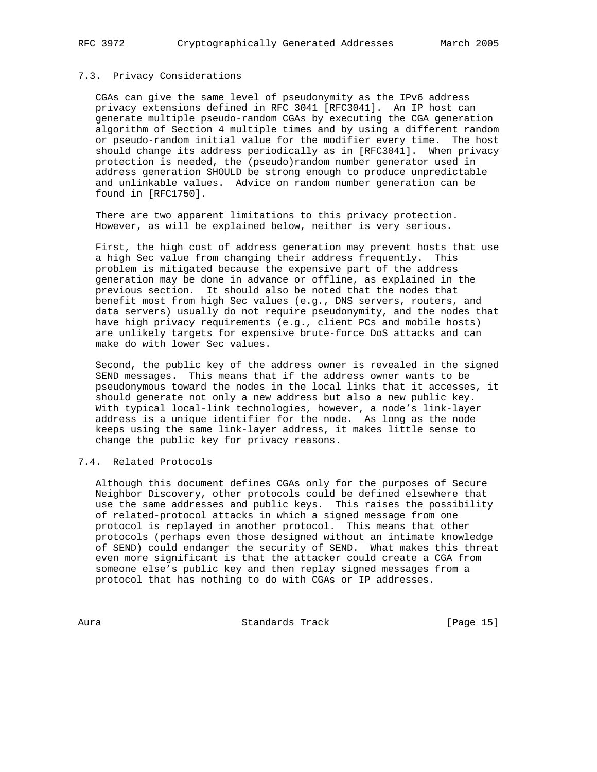# 7.3. Privacy Considerations

 CGAs can give the same level of pseudonymity as the IPv6 address privacy extensions defined in RFC 3041 [RFC3041]. An IP host can generate multiple pseudo-random CGAs by executing the CGA generation algorithm of Section 4 multiple times and by using a different random or pseudo-random initial value for the modifier every time. The host should change its address periodically as in [RFC3041]. When privacy protection is needed, the (pseudo)random number generator used in address generation SHOULD be strong enough to produce unpredictable and unlinkable values. Advice on random number generation can be found in [RFC1750].

 There are two apparent limitations to this privacy protection. However, as will be explained below, neither is very serious.

 First, the high cost of address generation may prevent hosts that use a high Sec value from changing their address frequently. This problem is mitigated because the expensive part of the address generation may be done in advance or offline, as explained in the previous section. It should also be noted that the nodes that benefit most from high Sec values (e.g., DNS servers, routers, and data servers) usually do not require pseudonymity, and the nodes that have high privacy requirements (e.g., client PCs and mobile hosts) are unlikely targets for expensive brute-force DoS attacks and can make do with lower Sec values.

 Second, the public key of the address owner is revealed in the signed SEND messages. This means that if the address owner wants to be pseudonymous toward the nodes in the local links that it accesses, it should generate not only a new address but also a new public key. With typical local-link technologies, however, a node's link-layer address is a unique identifier for the node. As long as the node keeps using the same link-layer address, it makes little sense to change the public key for privacy reasons.

# 7.4. Related Protocols

 Although this document defines CGAs only for the purposes of Secure Neighbor Discovery, other protocols could be defined elsewhere that use the same addresses and public keys. This raises the possibility of related-protocol attacks in which a signed message from one protocol is replayed in another protocol. This means that other protocols (perhaps even those designed without an intimate knowledge of SEND) could endanger the security of SEND. What makes this threat even more significant is that the attacker could create a CGA from someone else's public key and then replay signed messages from a protocol that has nothing to do with CGAs or IP addresses.

Aura **Standards Track** [Page 15]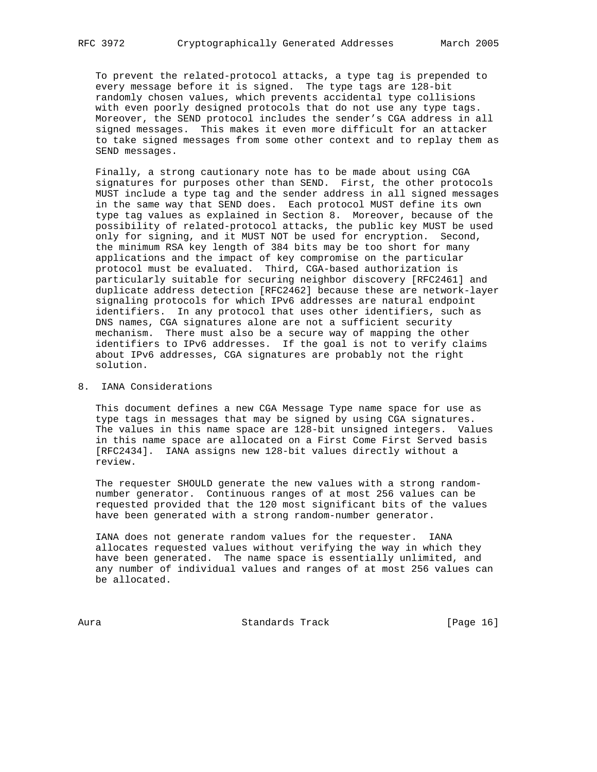To prevent the related-protocol attacks, a type tag is prepended to every message before it is signed. The type tags are 128-bit randomly chosen values, which prevents accidental type collisions with even poorly designed protocols that do not use any type tags. Moreover, the SEND protocol includes the sender's CGA address in all signed messages. This makes it even more difficult for an attacker to take signed messages from some other context and to replay them as SEND messages.

 Finally, a strong cautionary note has to be made about using CGA signatures for purposes other than SEND. First, the other protocols MUST include a type tag and the sender address in all signed messages in the same way that SEND does. Each protocol MUST define its own type tag values as explained in Section 8. Moreover, because of the possibility of related-protocol attacks, the public key MUST be used only for signing, and it MUST NOT be used for encryption. Second, the minimum RSA key length of 384 bits may be too short for many applications and the impact of key compromise on the particular protocol must be evaluated. Third, CGA-based authorization is particularly suitable for securing neighbor discovery [RFC2461] and duplicate address detection [RFC2462] because these are network-layer signaling protocols for which IPv6 addresses are natural endpoint identifiers. In any protocol that uses other identifiers, such as DNS names, CGA signatures alone are not a sufficient security mechanism. There must also be a secure way of mapping the other identifiers to IPv6 addresses. If the goal is not to verify claims about IPv6 addresses, CGA signatures are probably not the right solution.

# 8. IANA Considerations

 This document defines a new CGA Message Type name space for use as type tags in messages that may be signed by using CGA signatures. The values in this name space are 128-bit unsigned integers. Values in this name space are allocated on a First Come First Served basis [RFC2434]. IANA assigns new 128-bit values directly without a review.

 The requester SHOULD generate the new values with a strong random number generator. Continuous ranges of at most 256 values can be requested provided that the 120 most significant bits of the values have been generated with a strong random-number generator.

 IANA does not generate random values for the requester. IANA allocates requested values without verifying the way in which they have been generated. The name space is essentially unlimited, and any number of individual values and ranges of at most 256 values can be allocated.

Aura **Standards Track** [Page 16]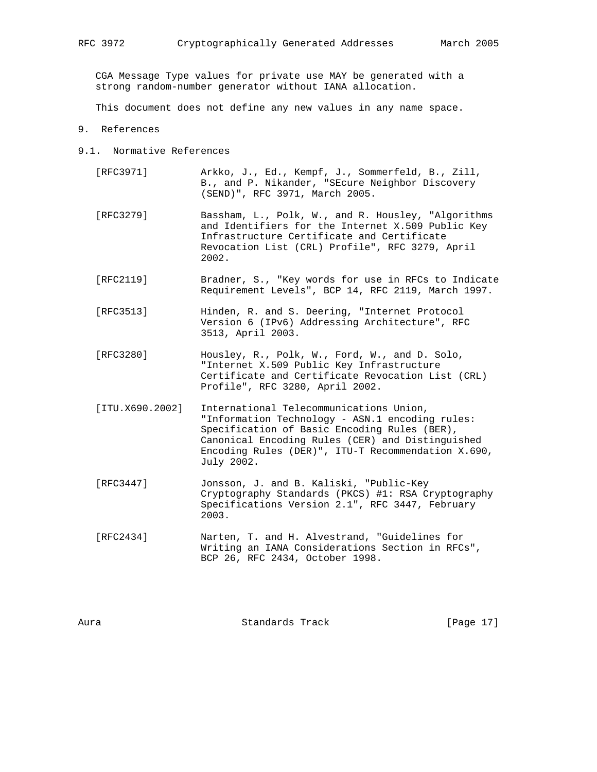CGA Message Type values for private use MAY be generated with a strong random-number generator without IANA allocation.

This document does not define any new values in any name space.

- 9. References
- 9.1. Normative References
	- [RFC3971] Arkko, J., Ed., Kempf, J., Sommerfeld, B., Zill, B., and P. Nikander, "SEcure Neighbor Discovery (SEND)", RFC 3971, March 2005.
	- [RFC3279] Bassham, L., Polk, W., and R. Housley, "Algorithms and Identifiers for the Internet X.509 Public Key Infrastructure Certificate and Certificate Revocation List (CRL) Profile", RFC 3279, April 2002.
	- [RFC2119] Bradner, S., "Key words for use in RFCs to Indicate Requirement Levels", BCP 14, RFC 2119, March 1997.
	- [RFC3513] Hinden, R. and S. Deering, "Internet Protocol Version 6 (IPv6) Addressing Architecture", RFC 3513, April 2003.
	- [RFC3280] Housley, R., Polk, W., Ford, W., and D. Solo, "Internet X.509 Public Key Infrastructure Certificate and Certificate Revocation List (CRL) Profile", RFC 3280, April 2002.
	- [ITU.X690.2002] International Telecommunications Union, "Information Technology - ASN.1 encoding rules: Specification of Basic Encoding Rules (BER), Canonical Encoding Rules (CER) and Distinguished Encoding Rules (DER)", ITU-T Recommendation X.690, July 2002.
	- [RFC3447] Jonsson, J. and B. Kaliski, "Public-Key Cryptography Standards (PKCS) #1: RSA Cryptography Specifications Version 2.1", RFC 3447, February 2003.
	- [RFC2434] Narten, T. and H. Alvestrand, "Guidelines for Writing an IANA Considerations Section in RFCs", BCP 26, RFC 2434, October 1998.

| Aura | Standards Track | [Page 17] |  |
|------|-----------------|-----------|--|
|      |                 |           |  |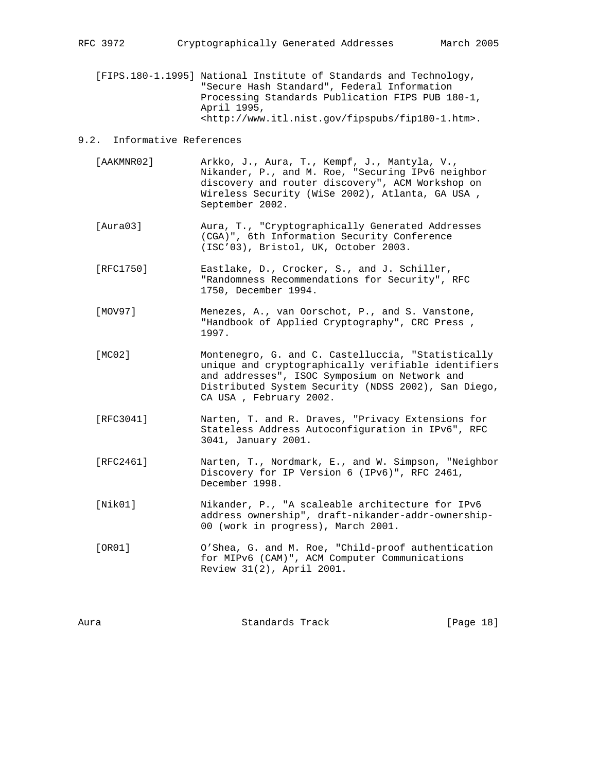[FIPS.180-1.1995] National Institute of Standards and Technology, "Secure Hash Standard", Federal Information Processing Standards Publication FIPS PUB 180-1, April 1995, <http://www.itl.nist.gov/fipspubs/fip180-1.htm>.

## 9.2. Informative References

- [AAKMNR02] Arkko, J., Aura, T., Kempf, J., Mantyla, V., Nikander, P., and M. Roe, "Securing IPv6 neighbor discovery and router discovery", ACM Workshop on Wireless Security (WiSe 2002), Atlanta, GA USA , September 2002.
- [Aura03] Aura, T., "Cryptographically Generated Addresses (CGA)", 6th Information Security Conference (ISC'03), Bristol, UK, October 2003.
- [RFC1750] Eastlake, D., Crocker, S., and J. Schiller, "Randomness Recommendations for Security", RFC 1750, December 1994.
- [MOV97] Menezes, A., van Oorschot, P., and S. Vanstone, "Handbook of Applied Cryptography", CRC Press , 1997.
- [MC02] Montenegro, G. and C. Castelluccia, "Statistically unique and cryptographically verifiable identifiers and addresses", ISOC Symposium on Network and Distributed System Security (NDSS 2002), San Diego, CA USA , February 2002.
- [RFC3041] Narten, T. and R. Draves, "Privacy Extensions for Stateless Address Autoconfiguration in IPv6", RFC 3041, January 2001.
- [RFC2461] Narten, T., Nordmark, E., and W. Simpson, "Neighbor Discovery for IP Version 6 (IPv6)", RFC 2461, December 1998.
- [Nik01] Nikander, P., "A scaleable architecture for IPv6 address ownership", draft-nikander-addr-ownership- 00 (work in progress), March 2001.
- [OR01] O'Shea, G. and M. Roe, "Child-proof authentication for MIPv6 (CAM)", ACM Computer Communications Review 31(2), April 2001.

| Aura | Standards Track | [Page 18] |  |
|------|-----------------|-----------|--|
|      |                 |           |  |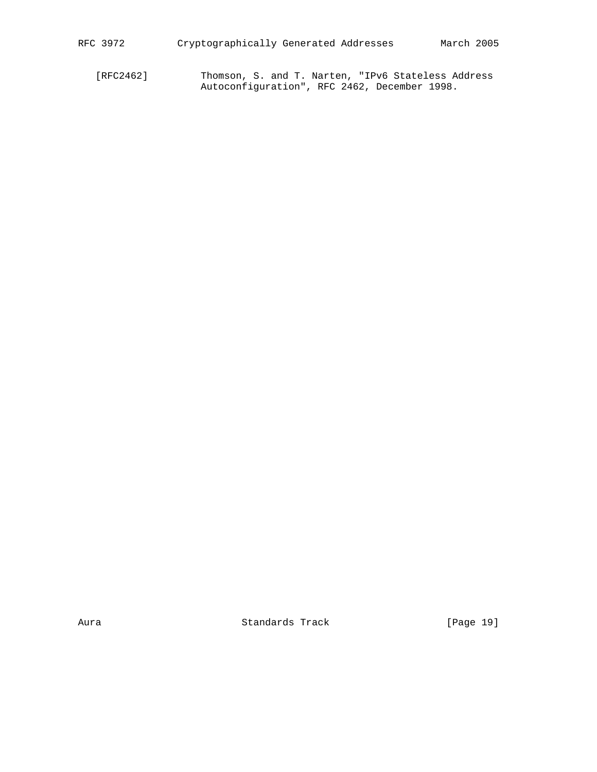[RFC2462] Thomson, S. and T. Narten, "IPv6 Stateless Address Autoconfiguration", RFC 2462, December 1998.

Aura **Bandards Track** [Page 19]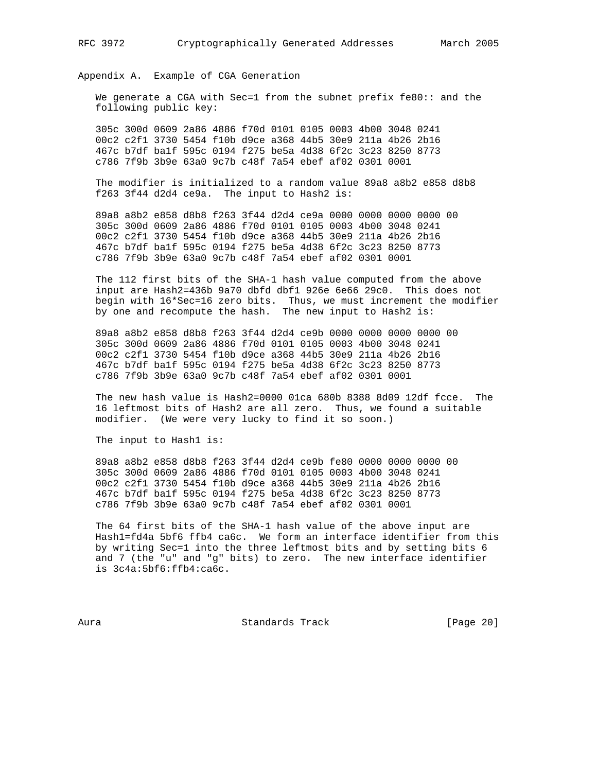Appendix A. Example of CGA Generation

 We generate a CGA with Sec=1 from the subnet prefix fe80:: and the following public key:

 305c 300d 0609 2a86 4886 f70d 0101 0105 0003 4b00 3048 0241 00c2 c2f1 3730 5454 f10b d9ce a368 44b5 30e9 211a 4b26 2b16 467c b7df ba1f 595c 0194 f275 be5a 4d38 6f2c 3c23 8250 8773 c786 7f9b 3b9e 63a0 9c7b c48f 7a54 ebef af02 0301 0001

 The modifier is initialized to a random value 89a8 a8b2 e858 d8b8 f263 3f44 d2d4 ce9a. The input to Hash2 is:

 89a8 a8b2 e858 d8b8 f263 3f44 d2d4 ce9a 0000 0000 0000 0000 00 305c 300d 0609 2a86 4886 f70d 0101 0105 0003 4b00 3048 0241 00c2 c2f1 3730 5454 f10b d9ce a368 44b5 30e9 211a 4b26 2b16 467c b7df ba1f 595c 0194 f275 be5a 4d38 6f2c 3c23 8250 8773 c786 7f9b 3b9e 63a0 9c7b c48f 7a54 ebef af02 0301 0001

 The 112 first bits of the SHA-1 hash value computed from the above input are Hash2=436b 9a70 dbfd dbf1 926e 6e66 29c0. This does not begin with 16\*Sec=16 zero bits. Thus, we must increment the modifier by one and recompute the hash. The new input to Hash2 is:

 89a8 a8b2 e858 d8b8 f263 3f44 d2d4 ce9b 0000 0000 0000 0000 00 305c 300d 0609 2a86 4886 f70d 0101 0105 0003 4b00 3048 0241 00c2 c2f1 3730 5454 f10b d9ce a368 44b5 30e9 211a 4b26 2b16 467c b7df ba1f 595c 0194 f275 be5a 4d38 6f2c 3c23 8250 8773 c786 7f9b 3b9e 63a0 9c7b c48f 7a54 ebef af02 0301 0001

 The new hash value is Hash2=0000 01ca 680b 8388 8d09 12df fcce. The 16 leftmost bits of Hash2 are all zero. Thus, we found a suitable modifier. (We were very lucky to find it so soon.)

The input to Hashl is:

 89a8 a8b2 e858 d8b8 f263 3f44 d2d4 ce9b fe80 0000 0000 0000 00 305c 300d 0609 2a86 4886 f70d 0101 0105 0003 4b00 3048 0241 00c2 c2f1 3730 5454 f10b d9ce a368 44b5 30e9 211a 4b26 2b16 467c b7df ba1f 595c 0194 f275 be5a 4d38 6f2c 3c23 8250 8773 c786 7f9b 3b9e 63a0 9c7b c48f 7a54 ebef af02 0301 0001

 The 64 first bits of the SHA-1 hash value of the above input are Hash1=fd4a 5bf6 ffb4 ca6c. We form an interface identifier from this by writing Sec=1 into the three leftmost bits and by setting bits 6 and 7 (the "u" and "g" bits) to zero. The new interface identifier is 3c4a:5bf6:ffb4:ca6c.

Aura Standards Track [Page 20]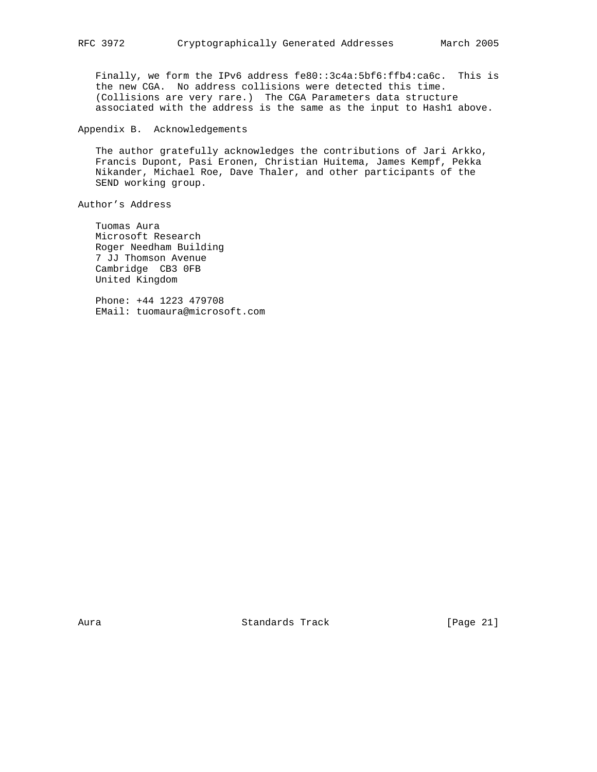Finally, we form the IPv6 address fe80::3c4a:5bf6:ffb4:ca6c. This is the new CGA. No address collisions were detected this time. (Collisions are very rare.) The CGA Parameters data structure associated with the address is the same as the input to Hash1 above.

Appendix B. Acknowledgements

 The author gratefully acknowledges the contributions of Jari Arkko, Francis Dupont, Pasi Eronen, Christian Huitema, James Kempf, Pekka Nikander, Michael Roe, Dave Thaler, and other participants of the SEND working group.

Author's Address

 Tuomas Aura Microsoft Research Roger Needham Building 7 JJ Thomson Avenue Cambridge CB3 0FB United Kingdom

 Phone: +44 1223 479708 EMail: tuomaura@microsoft.com

Aura Standards Track [Page 21]